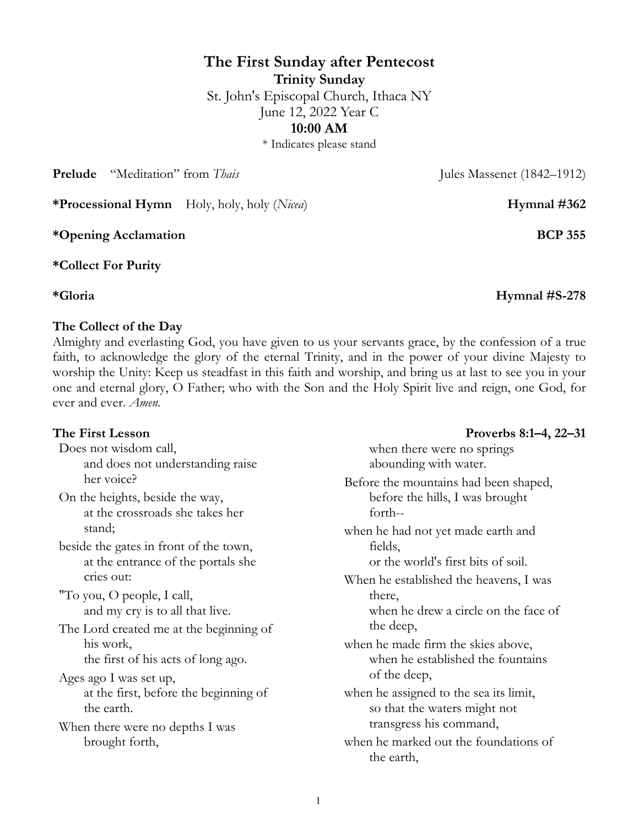# **The First Sunday after Pentecost Trinity Sunday** St. John's Episcopal Church, Ithaca NY June 12, 2022 Year C

**10:00 AM**

\* Indicates please stand

**Prelude** "Meditation" from *Thais* Jules Massenet (1842–1912)

**\*Processional Hymn** Holy, holy, holy (*Nicea*) **Hymnal #362**

**\*Opening Acclamation BCP 355**

**\*Collect For Purity**

**\*Gloria Hymnal #S-278**

## **The Collect of the Day**

Almighty and everlasting God, you have given to us your servants grace, by the confession of a true faith, to acknowledge the glory of the eternal Trinity, and in the power of your divine Majesty to worship the Unity: Keep us steadfast in this faith and worship, and bring us at last to see you in your one and eternal glory, O Father; who with the Son and the Holy Spirit live and reign, one God, for ever and ever. *Amen.*

Does not wisdom call, and does not understanding raise her voice? On the heights, beside the way, at the crossroads she takes her stand; beside the gates in front of the town, at the entrance of the portals she cries out: "To you, O people, I call, and my cry is to all that live. The Lord created me at the beginning of his work, the first of his acts of long ago. Ages ago I was set up, at the first, before the beginning of the earth. When there were no depths I was brought forth, when there were no springs abounding with water. Before the mountains had been shaped, before the hills, I was brought forth- when he had not yet made earth and fields, or the world's first bits of soil. When he established the heavens, I was there, when he drew a circle on the face of the deep, when he made firm the skies above, when he established the fountains of the deep, when he assigned to the sea its limit, so that the waters might not transgress his command, when he marked out the foundations of the earth,

## **The First Lesson Proverbs 8:1–4, 22–31**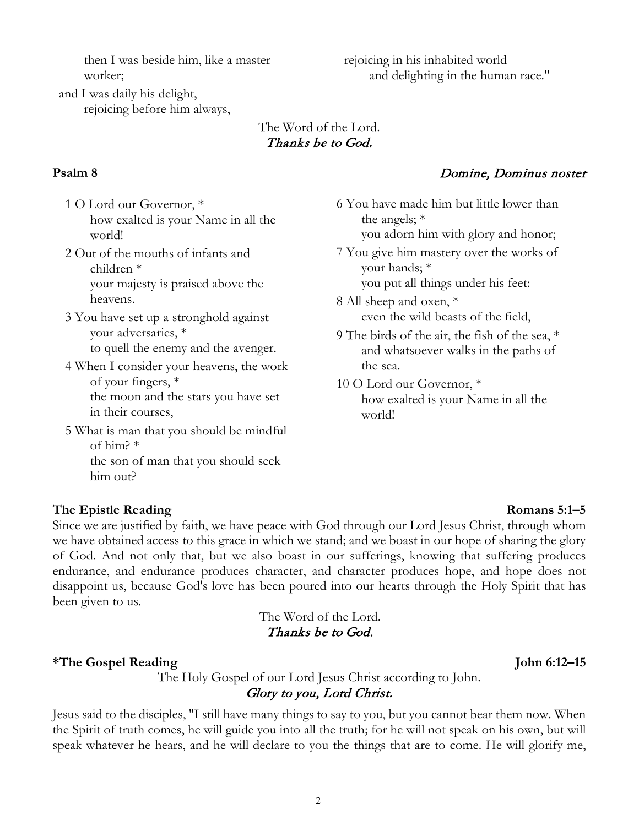then I was beside him, like a master worker;

rejoicing in his inhabited world and delighting in the human race."

and I was daily his delight, rejoicing before him always,

| The Word of the Lord. |  |
|-----------------------|--|
| Thanks be to God.     |  |

- 1 O Lord our Governor, \* how exalted is your Name in all the world!
- 2 Out of the mouths of infants and children \* your majesty is praised above the heavens.
- 3 You have set up a stronghold against your adversaries, \* to quell the enemy and the avenger.
- 4 When I consider your heavens, the work of your fingers, \* the moon and the stars you have set in their courses,
- 5 What is man that you should be mindful of him? \*

the son of man that you should seek him out?

## **Psalm 8** Domine, Dominus noster

6 You have made him but little lower than the angels; \* you adorn him with glory and honor; 7 You give him mastery over the works of your hands; \*

you put all things under his feet:

- 8 All sheep and oxen, \* even the wild beasts of the field,
- 9 The birds of the air, the fish of the sea, \* and whatsoever walks in the paths of the sea.
- 10 O Lord our Governor, \* how exalted is your Name in all the world!

## **The Epistle Reading Romans 5:1–5**

Since we are justified by faith, we have peace with God through our Lord Jesus Christ, through whom we have obtained access to this grace in which we stand; and we boast in our hope of sharing the glory of God. And not only that, but we also boast in our sufferings, knowing that suffering produces endurance, and endurance produces character, and character produces hope, and hope does not disappoint us, because God's love has been poured into our hearts through the Holy Spirit that has been given to us.

> The Word of the Lord. Thanks be to God.

### **\*The Gospel Reading John 6:12–15**

The Holy Gospel of our Lord Jesus Christ according to John. Glory to you, Lord Christ.

Jesus said to the disciples, "I still have many things to say to you, but you cannot bear them now. When the Spirit of truth comes, he will guide you into all the truth; for he will not speak on his own, but will speak whatever he hears, and he will declare to you the things that are to come. He will glorify me,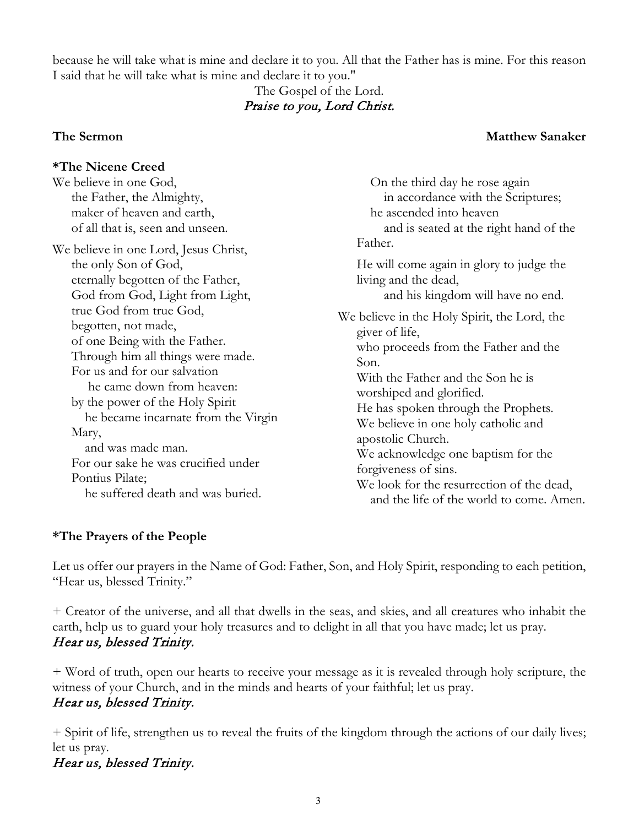because he will take what is mine and declare it to you. All that the Father has is mine. For this reason I said that he will take what is mine and declare it to you."

## The Gospel of the Lord. Praise to you, Lord Christ.

## **The Sermon Matthew Sanaker**

| <i><b>*The Nicene Creed</b></i>                                                                                                                                                                                                                                                                                                                                                                                                                                                                                                   |                                                                                                                                                                                                                                                                                                                                                                                                                                                                                                                   |
|-----------------------------------------------------------------------------------------------------------------------------------------------------------------------------------------------------------------------------------------------------------------------------------------------------------------------------------------------------------------------------------------------------------------------------------------------------------------------------------------------------------------------------------|-------------------------------------------------------------------------------------------------------------------------------------------------------------------------------------------------------------------------------------------------------------------------------------------------------------------------------------------------------------------------------------------------------------------------------------------------------------------------------------------------------------------|
| We believe in one God,<br>the Father, the Almighty,<br>maker of heaven and earth,<br>of all that is, seen and unseen.                                                                                                                                                                                                                                                                                                                                                                                                             | On the third day he rose again<br>in accordance with the Scriptures;<br>he ascended into heaven<br>and is seated at the right hand of the                                                                                                                                                                                                                                                                                                                                                                         |
| We believe in one Lord, Jesus Christ,<br>the only Son of God,<br>eternally begotten of the Father,<br>God from God, Light from Light,<br>true God from true God,<br>begotten, not made,<br>of one Being with the Father.<br>Through him all things were made.<br>For us and for our salvation<br>he came down from heaven:<br>by the power of the Holy Spirit<br>he became incarnate from the Virgin<br>Mary,<br>and was made man.<br>For our sake he was crucified under<br>Pontius Pilate;<br>he suffered death and was buried. | Father.<br>He will come again in glory to judge the<br>living and the dead,<br>and his kingdom will have no end.<br>We believe in the Holy Spirit, the Lord, the<br>giver of life,<br>who proceeds from the Father and the<br>Son.<br>With the Father and the Son he is<br>worshiped and glorified.<br>He has spoken through the Prophets.<br>We believe in one holy catholic and<br>apostolic Church.<br>We acknowledge one baptism for the<br>forgiveness of sins.<br>We look for the resurrection of the dead, |

## **\*The Prayers of the People**

Let us offer our prayers in the Name of God: Father, Son, and Holy Spirit, responding to each petition, "Hear us, blessed Trinity."

+ Creator of the universe, and all that dwells in the seas, and skies, and all creatures who inhabit the earth, help us to guard your holy treasures and to delight in all that you have made; let us pray. Hear us, blessed Trinity.

+ Word of truth, open our hearts to receive your message as it is revealed through holy scripture, the witness of your Church, and in the minds and hearts of your faithful; let us pray. Hear us, blessed Trinity.

+ Spirit of life, strengthen us to reveal the fruits of the kingdom through the actions of our daily lives; let us pray.

# Hear us, blessed Trinity.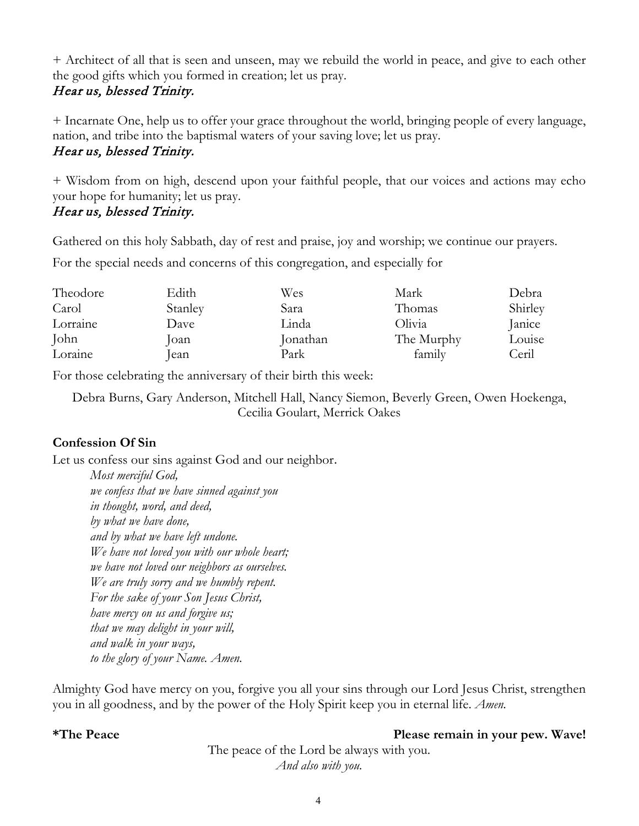+ Architect of all that is seen and unseen, may we rebuild the world in peace, and give to each other the good gifts which you formed in creation; let us pray.

## Hear us, blessed Trinity.

+ Incarnate One, help us to offer your grace throughout the world, bringing people of every language, nation, and tribe into the baptismal waters of your saving love; let us pray.

## Hear us, blessed Trinity.

+ Wisdom from on high, descend upon your faithful people, that our voices and actions may echo your hope for humanity; let us pray.

# Hear us, blessed Trinity.

Gathered on this holy Sabbath, day of rest and praise, joy and worship; we continue our prayers.

For the special needs and concerns of this congregation, and especially for

| Theodore | Edith   | Wes      | Mark       | Debra   |
|----------|---------|----------|------------|---------|
| Carol    | Stanley | Sara     | Thomas     | Shirley |
| Lorraine | Dave    | Linda    | Olivia     | Janice  |
| John     | loan-   | Jonathan | The Murphy | Louise  |
| Loraine  | lean    | Park     | family     | Ceril   |

For those celebrating the anniversary of their birth this week:

Debra Burns, Gary Anderson, Mitchell Hall, Nancy Siemon, Beverly Green, Owen Hoekenga, Cecilia Goulart, Merrick Oakes

# **Confession Of Sin**

Let us confess our sins against God and our neighbor.

*Most merciful God, we confess that we have sinned against you in thought, word, and deed, by what we have done, and by what we have left undone. We have not loved you with our whole heart; we have not loved our neighbors as ourselves. We are truly sorry and we humbly repent. For the sake of your Son Jesus Christ, have mercy on us and forgive us; that we may delight in your will, and walk in your ways, to the glory of your Name. Amen.* 

Almighty God have mercy on you, forgive you all your sins through our Lord Jesus Christ, strengthen you in all goodness, and by the power of the Holy Spirit keep you in eternal life. *Amen.*

## **\*The Peace Please remain in your pew. Wave!**

The peace of the Lord be always with you. *And also with you.*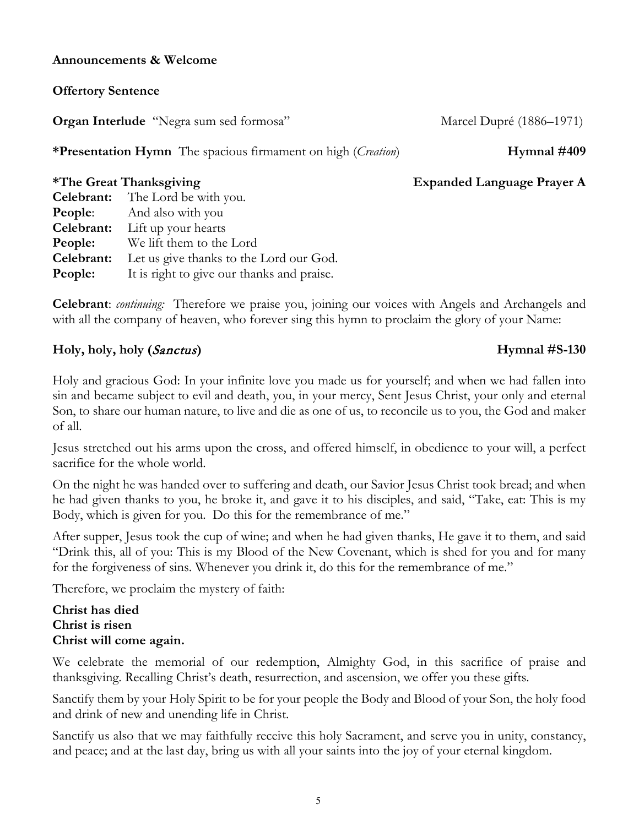#### **Announcements & Welcome**

### **Offertory Sentence**

**Organ Interlude** "Negra sum sed formosa" Marcel Dupré (1886–1971)

**\*Presentation Hymn** The spacious firmament on high (*Creation*) **Hymnal #409**

### **\*The Great Thanksgiving Expanded Language Prayer A**

|            | <b>Celebrant:</b> The Lord be with you.    |
|------------|--------------------------------------------|
| People:    | And also with you                          |
| Celebrant: | Lift up your hearts                        |
| People:    | We lift them to the Lord                   |
| Celebrant: | Let us give thanks to the Lord our God.    |
| People:    | It is right to give our thanks and praise. |

**Celebrant**: *continuing:* Therefore we praise you, joining our voices with Angels and Archangels and with all the company of heaven, who forever sing this hymn to proclaim the glory of your Name:

## **Holy, holy, holy (**Sanctus**) Hymnal #S-130**

## Holy and gracious God: In your infinite love you made us for yourself; and when we had fallen into sin and became subject to evil and death, you, in your mercy, Sent Jesus Christ, your only and eternal Son, to share our human nature, to live and die as one of us, to reconcile us to you, the God and maker of all.

Jesus stretched out his arms upon the cross, and offered himself, in obedience to your will, a perfect sacrifice for the whole world.

On the night he was handed over to suffering and death, our Savior Jesus Christ took bread; and when he had given thanks to you, he broke it, and gave it to his disciples, and said, "Take, eat: This is my Body, which is given for you. Do this for the remembrance of me."

After supper, Jesus took the cup of wine; and when he had given thanks, He gave it to them, and said "Drink this, all of you: This is my Blood of the New Covenant, which is shed for you and for many for the forgiveness of sins. Whenever you drink it, do this for the remembrance of me."

Therefore, we proclaim the mystery of faith:

### **Christ has died Christ is risen Christ will come again.**

We celebrate the memorial of our redemption, Almighty God, in this sacrifice of praise and thanksgiving. Recalling Christ's death, resurrection, and ascension, we offer you these gifts.

Sanctify them by your Holy Spirit to be for your people the Body and Blood of your Son, the holy food and drink of new and unending life in Christ.

Sanctify us also that we may faithfully receive this holy Sacrament, and serve you in unity, constancy, and peace; and at the last day, bring us with all your saints into the joy of your eternal kingdom.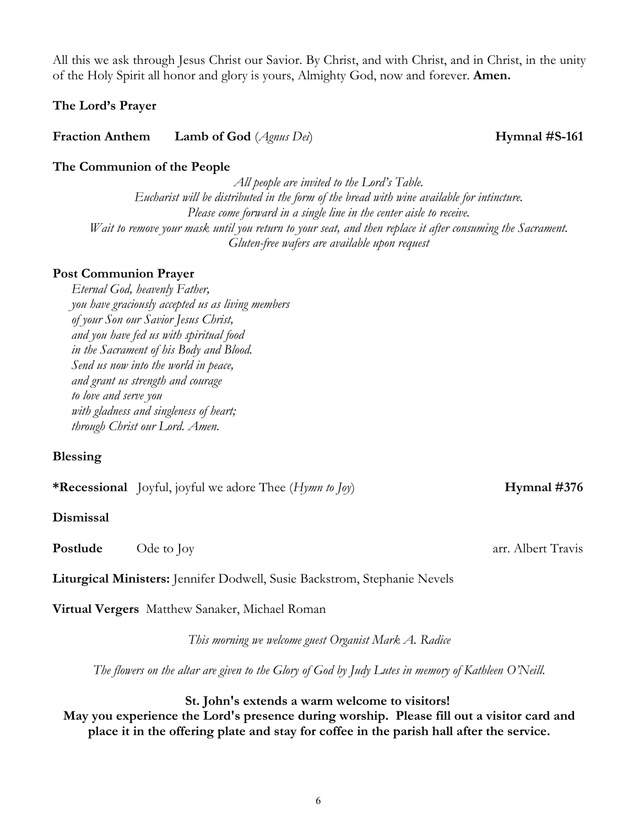All this we ask through Jesus Christ our Savior. By Christ, and with Christ, and in Christ, in the unity of the Holy Spirit all honor and glory is yours, Almighty God, now and forever. **Amen.**

# **The Lord's Prayer**

**Fraction Anthem Lamb of God** (*Agnus Dei*) **Hymnal #S-161**

# **The Communion of the People**

*All people are invited to the Lord's Table. Eucharist will be distributed in the form of the bread with wine available for intincture. Please come forward in a single line in the center aisle to receive. Wait to remove your mask until you return to your seat, and then replace it after consuming the Sacrament. Gluten-free wafers are available upon request*

# **Post Communion Prayer**

*Eternal God, heavenly Father, you have graciously accepted us as living members of your Son our Savior Jesus Christ, and you have fed us with spiritual food in the Sacrament of his Body and Blood. Send us now into the world in peace, and grant us strength and courage to love and serve you with gladness and singleness of heart; through Christ our Lord. Amen*.

# **Blessing**

**\*Recessional** Joyful, joyful we adore Thee (*Hymn to Joy*) **Hymnal #376** 

# **Dismissal**

**Postlude** Ode to Joy **arr.** Albert Travis

**Liturgical Ministers:** Jennifer Dodwell, Susie Backstrom, Stephanie Nevels

**Virtual Vergers** Matthew Sanaker, Michael Roman

*This morning we welcome guest Organist Mark A. Radice*

*The flowers on the altar are given to the Glory of God by Judy Lutes in memory of Kathleen O'Neill.* 

# **St. John's extends a warm welcome to visitors!**

**May you experience the Lord's presence during worship. Please fill out a visitor card and place it in the offering plate and stay for coffee in the parish hall after the service.**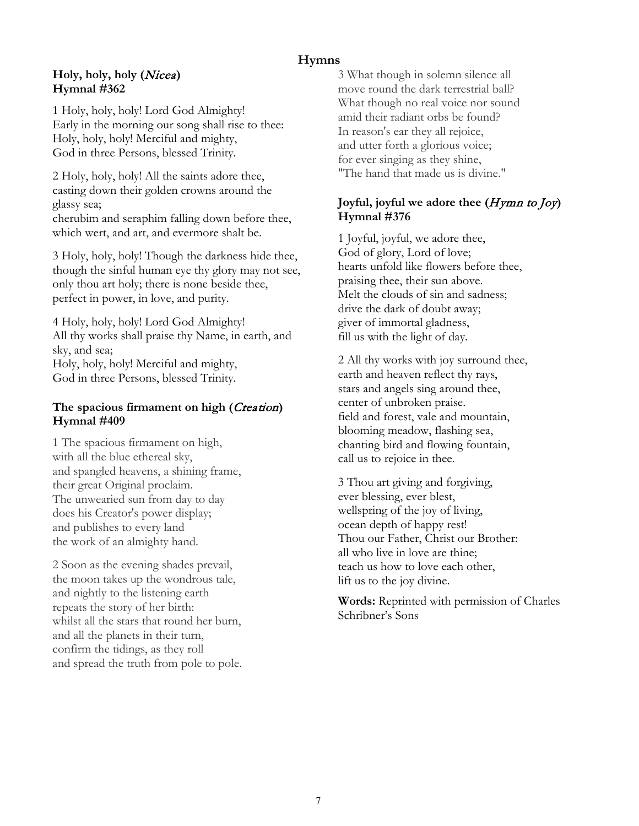## **Hymns**

#### **Holy, holy, holy (**Nicea**) Hymnal #362**

1 Holy, holy, holy! Lord God Almighty! Early in the morning our song shall rise to thee: Holy, holy, holy! Merciful and mighty, God in three Persons, blessed Trinity.

2 Holy, holy, holy! All the saints adore thee, casting down their golden crowns around the glassy sea; cherubim and seraphim falling down before thee, which wert, and art, and evermore shalt be.

3 Holy, holy, holy! Though the darkness hide thee, though the sinful human eye thy glory may not see, only thou art holy; there is none beside thee, perfect in power, in love, and purity.

4 Holy, holy, holy! Lord God Almighty! All thy works shall praise thy Name, in earth, and sky, and sea; Holy, holy, holy! Merciful and mighty, God in three Persons, blessed Trinity.

#### **The spacious firmament on high (**Creation**) Hymnal #409**

1 The spacious firmament on high, with all the blue ethereal sky, and spangled heavens, a shining frame, their great Original proclaim. The unwearied sun from day to day does his Creator's power display; and publishes to every land the work of an almighty hand.

2 Soon as the evening shades prevail, the moon takes up the wondrous tale, and nightly to the listening earth repeats the story of her birth: whilst all the stars that round her burn, and all the planets in their turn, confirm the tidings, as they roll and spread the truth from pole to pole. 3 What though in solemn silence all move round the dark terrestrial ball? What though no real voice nor sound amid their radiant orbs be found? In reason's ear they all rejoice, and utter forth a glorious voice; for ever singing as they shine, "The hand that made us is divine."

#### **Joyful, joyful we adore thee (**Hymn to Joy**) Hymnal #376**

1 Joyful, joyful, we adore thee, God of glory, Lord of love; hearts unfold like flowers before thee, praising thee, their sun above. Melt the clouds of sin and sadness; drive the dark of doubt away; giver of immortal gladness, fill us with the light of day.

2 All thy works with joy surround thee, earth and heaven reflect thy rays, stars and angels sing around thee, center of unbroken praise. field and forest, vale and mountain, blooming meadow, flashing sea, chanting bird and flowing fountain, call us to rejoice in thee.

3 Thou art giving and forgiving, ever blessing, ever blest, wellspring of the joy of living, ocean depth of happy rest! Thou our Father, Christ our Brother: all who live in love are thine; teach us how to love each other, lift us to the joy divine.

**Words:** Reprinted with permission of Charles Schribner's Sons